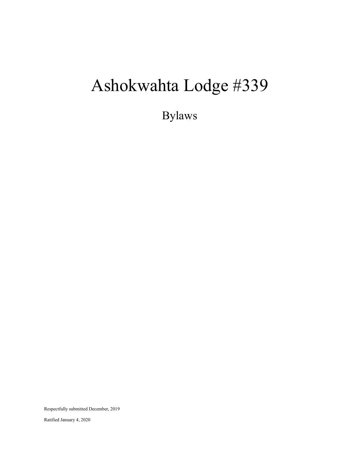# Ashokwahta Lodge #339

Bylaws

Respectfully submitted December, 2019

Ratified January 4, 2020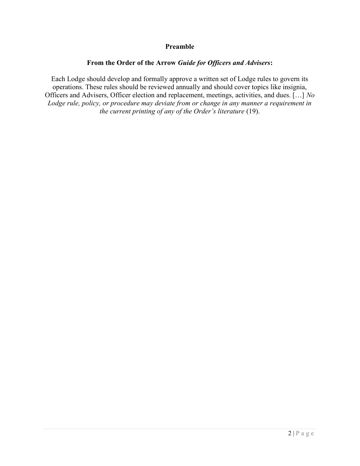## Preamble

## From the Order of the Arrow Guide for Officers and Advisers:

Each Lodge should develop and formally approve a written set of Lodge rules to govern its operations. These rules should be reviewed annually and should cover topics like insignia, Officers and Advisers, Officer election and replacement, meetings, activities, and dues. […] No Lodge rule, policy, or procedure may deviate from or change in any manner a requirement in the current printing of any of the Order's literature (19).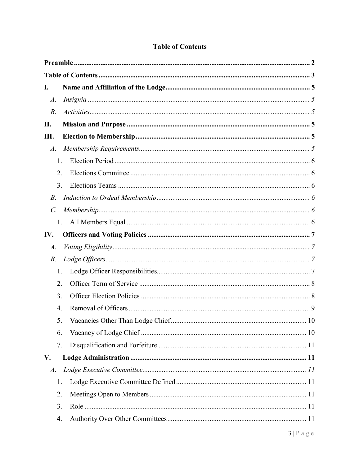| $\mathbf{I}$ .  |    |  |
|-----------------|----|--|
| $A$ .           |    |  |
| $B$ .           |    |  |
| II.             |    |  |
| Ш.              |    |  |
| $A$ .           |    |  |
| 1.              |    |  |
| 2.              |    |  |
| 3.              |    |  |
| <i>B</i> .      |    |  |
| $\mathcal{C}$ . |    |  |
| 1.              |    |  |
| IV.             |    |  |
| $A$ .           |    |  |
| <i>B</i> .      |    |  |
| 1.              |    |  |
| 2.              |    |  |
| 3.              |    |  |
| 4.              |    |  |
| 5.              | 10 |  |
| 6.              |    |  |
| 7.              |    |  |
| V.              |    |  |
| $A$ .           |    |  |
| 1.              |    |  |
| 2.              |    |  |
| 3.              |    |  |
| 4.              |    |  |

# **Table of Contents**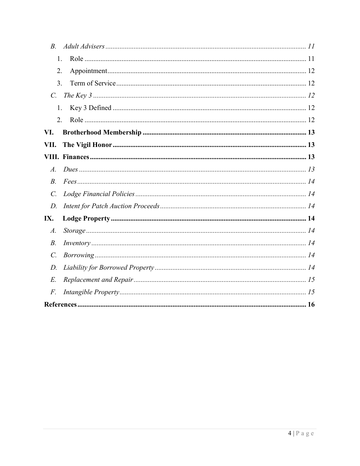| $B_{\cdot}$        |  |
|--------------------|--|
| 1.                 |  |
| 2.                 |  |
| 3.                 |  |
| $C_{\cdot}$        |  |
| 1.                 |  |
| 2.                 |  |
| VI.                |  |
| VII.               |  |
|                    |  |
| $\mathcal{A}$ .    |  |
| $B$ .              |  |
| $\mathcal{C}$ .    |  |
| D.                 |  |
| IX.                |  |
| $\boldsymbol{A}$ . |  |
| $B$ .              |  |
| $\mathcal{C}$ .    |  |
| $D$ .              |  |
| $E$ .              |  |
| F.                 |  |
|                    |  |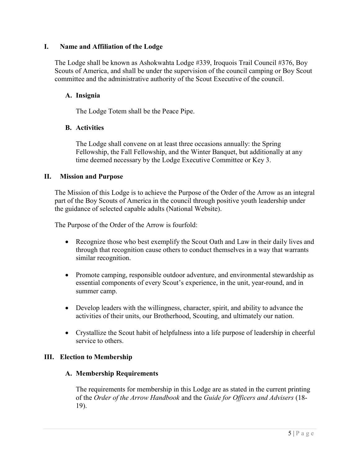## I. Name and Affiliation of the Lodge

The Lodge shall be known as Ashokwahta Lodge #339, Iroquois Trail Council #376, Boy Scouts of America, and shall be under the supervision of the council camping or Boy Scout committee and the administrative authority of the Scout Executive of the council.

## A. Insignia

The Lodge Totem shall be the Peace Pipe.

#### B. Activities

The Lodge shall convene on at least three occasions annually: the Spring Fellowship, the Fall Fellowship, and the Winter Banquet, but additionally at any time deemed necessary by the Lodge Executive Committee or Key 3.

#### II. Mission and Purpose

The Mission of this Lodge is to achieve the Purpose of the Order of the Arrow as an integral part of the Boy Scouts of America in the council through positive youth leadership under the guidance of selected capable adults (National Website).

The Purpose of the Order of the Arrow is fourfold:

- Recognize those who best exemplify the Scout Oath and Law in their daily lives and through that recognition cause others to conduct themselves in a way that warrants similar recognition.
- Promote camping, responsible outdoor adventure, and environmental stewardship as essential components of every Scout's experience, in the unit, year-round, and in summer camp.
- Develop leaders with the willingness, character, spirit, and ability to advance the activities of their units, our Brotherhood, Scouting, and ultimately our nation.
- Crystallize the Scout habit of helpfulness into a life purpose of leadership in cheerful service to others.

#### III. Election to Membership

#### A. Membership Requirements

The requirements for membership in this Lodge are as stated in the current printing of the Order of the Arrow Handbook and the Guide for Officers and Advisers (18- 19).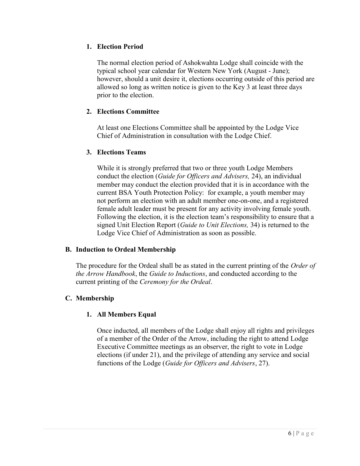# 1. Election Period

The normal election period of Ashokwahta Lodge shall coincide with the typical school year calendar for Western New York (August - June); however, should a unit desire it, elections occurring outside of this period are allowed so long as written notice is given to the Key 3 at least three days prior to the election.

# 2. Elections Committee

At least one Elections Committee shall be appointed by the Lodge Vice Chief of Administration in consultation with the Lodge Chief.

# 3. Elections Teams

While it is strongly preferred that two or three youth Lodge Members conduct the election (Guide for Officers and Advisers, 24), an individual member may conduct the election provided that it is in accordance with the current BSA Youth Protection Policy: for example, a youth member may not perform an election with an adult member one-on-one, and a registered female adult leader must be present for any activity involving female youth. Following the election, it is the election team's responsibility to ensure that a signed Unit Election Report (Guide to Unit Elections, 34) is returned to the Lodge Vice Chief of Administration as soon as possible.

# B. Induction to Ordeal Membership

The procedure for the Ordeal shall be as stated in the current printing of the Order of the Arrow Handbook, the Guide to Inductions, and conducted according to the current printing of the Ceremony for the Ordeal.

# C. Membership

# 1. All Members Equal

Once inducted, all members of the Lodge shall enjoy all rights and privileges of a member of the Order of the Arrow, including the right to attend Lodge Executive Committee meetings as an observer, the right to vote in Lodge elections (if under 21), and the privilege of attending any service and social functions of the Lodge (Guide for Officers and Advisers, 27).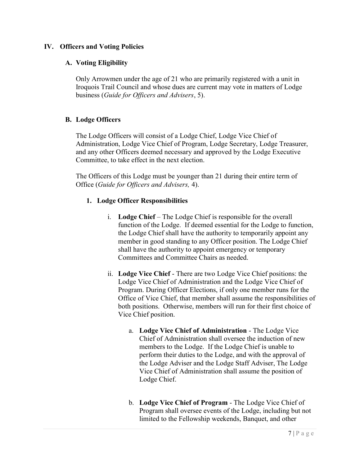# IV. Officers and Voting Policies

# A. Voting Eligibility

Only Arrowmen under the age of 21 who are primarily registered with a unit in Iroquois Trail Council and whose dues are current may vote in matters of Lodge business (Guide for Officers and Advisers, 5).

# B. Lodge Officers

The Lodge Officers will consist of a Lodge Chief, Lodge Vice Chief of Administration, Lodge Vice Chief of Program, Lodge Secretary, Lodge Treasurer, and any other Officers deemed necessary and approved by the Lodge Executive Committee, to take effect in the next election.

The Officers of this Lodge must be younger than 21 during their entire term of Office (Guide for Officers and Advisers, 4).

# 1. Lodge Officer Responsibilities

- i. Lodge Chief The Lodge Chief is responsible for the overall function of the Lodge. If deemed essential for the Lodge to function, the Lodge Chief shall have the authority to temporarily appoint any member in good standing to any Officer position. The Lodge Chief shall have the authority to appoint emergency or temporary Committees and Committee Chairs as needed.
- ii. Lodge Vice Chief There are two Lodge Vice Chief positions: the Lodge Vice Chief of Administration and the Lodge Vice Chief of Program. During Officer Elections, if only one member runs for the Office of Vice Chief, that member shall assume the responsibilities of both positions. Otherwise, members will run for their first choice of Vice Chief position.
	- a. Lodge Vice Chief of Administration The Lodge Vice Chief of Administration shall oversee the induction of new members to the Lodge. If the Lodge Chief is unable to perform their duties to the Lodge, and with the approval of the Lodge Adviser and the Lodge Staff Adviser, The Lodge Vice Chief of Administration shall assume the position of Lodge Chief.
	- b. Lodge Vice Chief of Program The Lodge Vice Chief of Program shall oversee events of the Lodge, including but not limited to the Fellowship weekends, Banquet, and other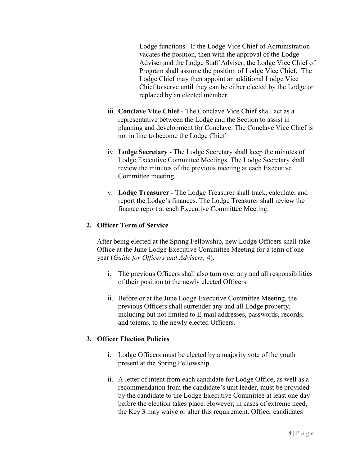Lodge functions. If the Lodge Vice Chief of Administration vacates the position, then with the approval of the Lodge Adviser and the Lodge Staff Adviser, the Lodge Vice Chief of Program shall assume the position of Lodge Vice Chief. The Lodge Chief may then appoint an additional Lodge Vice Chief to serve until they can be either elected by the Lodge or replaced by an elected member.

- iii. Conclave Vice Chief The Conclave Vice Chief shall act as a representative between the Lodge and the Section to assist in planning and development for Conclave. The Conclave Vice Chief is not in line to become the Lodge Chief.
- iv. Lodge Secretary The Lodge Secretary shall keep the minutes of Lodge Executive Committee Meetings. The Lodge Secretary shall review the minutes of the previous meeting at each Executive Committee meeting.
- v. Lodge Treasurer The Lodge Treasurer shall track, calculate, and report the Lodge's finances. The Lodge Treasurer shall review the finance report at each Executive Committee Meeting.

# 2. Officer Term of Service

After being elected at the Spring Fellowship, new Lodge Officers shall take Office at the June Lodge Executive Committee Meeting for a term of one year (Guide for Officers and Advisers, 4).

- i. The previous Officers shall also turn over any and all responsibilities of their position to the newly elected Officers.
- ii. Before or at the June Lodge Executive Committee Meeting, the previous Officers shall surrender any and all Lodge property, including but not limited to E-mail addresses, passwords, records, and totems, to the newly elected Officers.

# 3. Officer Election Policies

- i. Lodge Officers must be elected by a majority vote of the youth present at the Spring Fellowship.
- ii. A letter of intent from each candidate for Lodge Office, as well as a recommendation from the candidate's unit leader, must be provided by the candidate to the Lodge Executive Committee at least one day before the election takes place. However, in cases of extreme need, the Key 3 may waive or alter this requirement. Officer candidates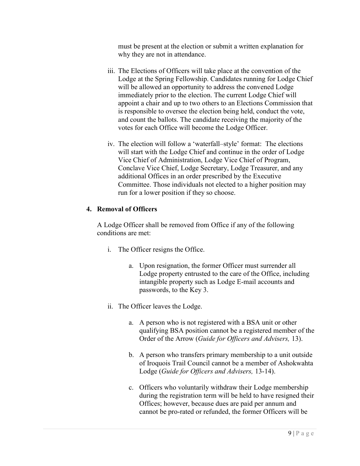must be present at the election or submit a written explanation for why they are not in attendance.

- iii. The Elections of Officers will take place at the convention of the Lodge at the Spring Fellowship. Candidates running for Lodge Chief will be allowed an opportunity to address the convened Lodge immediately prior to the election. The current Lodge Chief will appoint a chair and up to two others to an Elections Commission that is responsible to oversee the election being held, conduct the vote, and count the ballots. The candidate receiving the majority of the votes for each Office will become the Lodge Officer.
- iv. The election will follow a 'waterfall–style' format: The elections will start with the Lodge Chief and continue in the order of Lodge Vice Chief of Administration, Lodge Vice Chief of Program, Conclave Vice Chief, Lodge Secretary, Lodge Treasurer, and any additional Offices in an order prescribed by the Executive Committee. Those individuals not elected to a higher position may run for a lower position if they so choose.

# 4. Removal of Officers

A Lodge Officer shall be removed from Office if any of the following conditions are met:

- i. The Officer resigns the Office.
	- a. Upon resignation, the former Officer must surrender all Lodge property entrusted to the care of the Office, including intangible property such as Lodge E-mail accounts and passwords, to the Key 3.
- ii. The Officer leaves the Lodge.
	- a. A person who is not registered with a BSA unit or other qualifying BSA position cannot be a registered member of the Order of the Arrow (Guide for Officers and Advisers, 13).
	- b. A person who transfers primary membership to a unit outside of Iroquois Trail Council cannot be a member of Ashokwahta Lodge (Guide for Officers and Advisers, 13-14).
	- c. Officers who voluntarily withdraw their Lodge membership during the registration term will be held to have resigned their Offices; however, because dues are paid per annum and cannot be pro-rated or refunded, the former Officers will be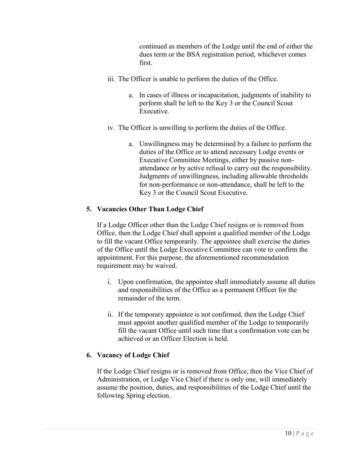continued as members of the Lodge until the end of either the dues term or the BSA registration period, whichever comes first.

- iii. The Officer is unable to perform the duties of the Office.
	- a. In cases of illness or incapacitation, judgments of inability to perform shall be left to the Key 3 or the Council Scout Executive.
- iv. The Officer is unwilling to perform the duties of the Office.
	- a. Unwillingness may be determined by a failure to perform the duties of the Office or to attend necessary Lodge events or Executive Committee Meetings, either by passive nonattendance or by active refusal to carry out the responsibility. Judgments of unwillingness, including allowable thresholds for non-performance or non-attendance, shall be left to the Key 3 or the Council Scout Executive.

# 5. Vacancies Other Than Lodge Chief

If a Lodge Officer other than the Lodge Chief resigns or is removed from Office, then the Lodge Chief shall appoint a qualified member of the Lodge to fill the vacant Office temporarily. The appointee shall exercise the duties of the Office until the Lodge Executive Committee can vote to confirm the appointment. For this purpose, the aforementioned recommendation requirement may be waived.

- i. Upon confirmation, the appointee shall immediately assume all duties and responsibilities of the Office as a permanent Officer for the remainder of the term.
- ii. If the temporary appointee is not confirmed, then the Lodge Chief must appoint another qualified member of the Lodge to temporarily fill the vacant Office until such time that a confirmation vote can be achieved or an Officer Election is held.

# 6. Vacancy of Lodge Chief

If the Lodge Chief resigns or is removed from Office, then the Vice Chief of Administration, or Lodge Vice Chief if there is only one, will immediately assume the position, duties, and responsibilities of the Lodge Chief until the following Spring election.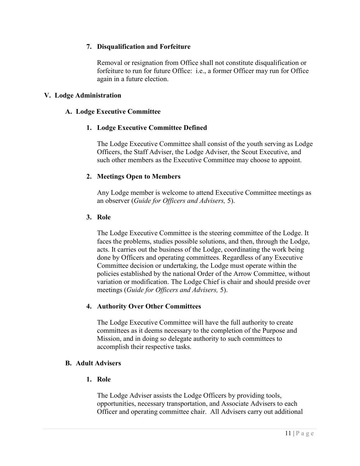# 7. Disqualification and Forfeiture

Removal or resignation from Office shall not constitute disqualification or forfeiture to run for future Office: i.e., a former Officer may run for Office again in a future election.

## V. Lodge Administration

## A. Lodge Executive Committee

#### 1. Lodge Executive Committee Defined

The Lodge Executive Committee shall consist of the youth serving as Lodge Officers, the Staff Adviser, the Lodge Adviser, the Scout Executive, and such other members as the Executive Committee may choose to appoint.

#### 2. Meetings Open to Members

Any Lodge member is welcome to attend Executive Committee meetings as an observer (Guide for Officers and Advisers, 5).

#### 3. Role

The Lodge Executive Committee is the steering committee of the Lodge. It faces the problems, studies possible solutions, and then, through the Lodge, acts. It carries out the business of the Lodge, coordinating the work being done by Officers and operating committees. Regardless of any Executive Committee decision or undertaking, the Lodge must operate within the policies established by the national Order of the Arrow Committee, without variation or modification. The Lodge Chief is chair and should preside over meetings (Guide for Officers and Advisers, 5).

# 4. Authority Over Other Committees

The Lodge Executive Committee will have the full authority to create committees as it deems necessary to the completion of the Purpose and Mission, and in doing so delegate authority to such committees to accomplish their respective tasks.

#### B. Adult Advisers

#### 1. Role

The Lodge Adviser assists the Lodge Officers by providing tools, opportunities, necessary transportation, and Associate Advisers to each Officer and operating committee chair. All Advisers carry out additional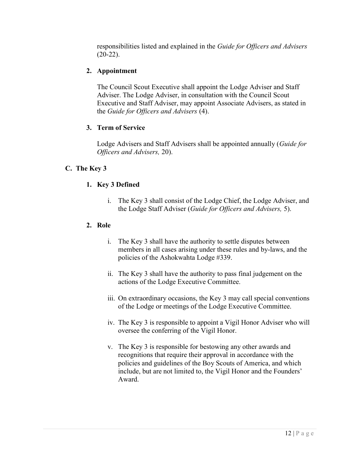responsibilities listed and explained in the Guide for Officers and Advisers (20-22).

# 2. Appointment

The Council Scout Executive shall appoint the Lodge Adviser and Staff Adviser. The Lodge Adviser, in consultation with the Council Scout Executive and Staff Adviser, may appoint Associate Advisers, as stated in the Guide for Officers and Advisers (4).

# 3. Term of Service

Lodge Advisers and Staff Advisers shall be appointed annually (Guide for Officers and Advisers, 20).

# C. The Key 3

# 1. Key 3 Defined

i. The Key 3 shall consist of the Lodge Chief, the Lodge Adviser, and the Lodge Staff Adviser (Guide for Officers and Advisers, 5).

# 2. Role

- i. The Key 3 shall have the authority to settle disputes between members in all cases arising under these rules and by-laws, and the policies of the Ashokwahta Lodge #339.
- ii. The Key 3 shall have the authority to pass final judgement on the actions of the Lodge Executive Committee.
- iii. On extraordinary occasions, the Key 3 may call special conventions of the Lodge or meetings of the Lodge Executive Committee.
- iv. The Key 3 is responsible to appoint a Vigil Honor Adviser who will oversee the conferring of the Vigil Honor.
- v. The Key 3 is responsible for bestowing any other awards and recognitions that require their approval in accordance with the policies and guidelines of the Boy Scouts of America, and which include, but are not limited to, the Vigil Honor and the Founders' Award.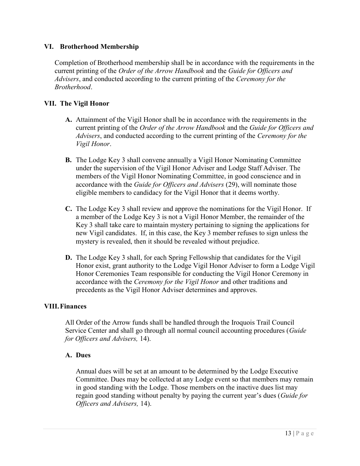## VI. Brotherhood Membership

Completion of Brotherhood membership shall be in accordance with the requirements in the current printing of the Order of the Arrow Handbook and the Guide for Officers and Advisers, and conducted according to the current printing of the Ceremony for the Brotherhood.

# VII. The Vigil Honor

- A. Attainment of the Vigil Honor shall be in accordance with the requirements in the current printing of the Order of the Arrow Handbook and the Guide for Officers and Advisers, and conducted according to the current printing of the Ceremony for the Vigil Honor.
- B. The Lodge Key 3 shall convene annually a Vigil Honor Nominating Committee under the supervision of the Vigil Honor Adviser and Lodge Staff Adviser. The members of the Vigil Honor Nominating Committee, in good conscience and in accordance with the Guide for Officers and Advisers (29), will nominate those eligible members to candidacy for the Vigil Honor that it deems worthy.
- C. The Lodge Key 3 shall review and approve the nominations for the Vigil Honor. If a member of the Lodge Key 3 is not a Vigil Honor Member, the remainder of the Key 3 shall take care to maintain mystery pertaining to signing the applications for new Vigil candidates. If, in this case, the Key 3 member refuses to sign unless the mystery is revealed, then it should be revealed without prejudice.
- D. The Lodge Key 3 shall, for each Spring Fellowship that candidates for the Vigil Honor exist, grant authority to the Lodge Vigil Honor Adviser to form a Lodge Vigil Honor Ceremonies Team responsible for conducting the Vigil Honor Ceremony in accordance with the Ceremony for the Vigil Honor and other traditions and precedents as the Vigil Honor Adviser determines and approves.

#### VIII.Finances

All Order of the Arrow funds shall be handled through the Iroquois Trail Council Service Center and shall go through all normal council accounting procedures (Guide for Officers and Advisers, 14).

#### A. Dues

Annual dues will be set at an amount to be determined by the Lodge Executive Committee. Dues may be collected at any Lodge event so that members may remain in good standing with the Lodge. Those members on the inactive dues list may regain good standing without penalty by paying the current year's dues (*Guide for* Officers and Advisers, 14).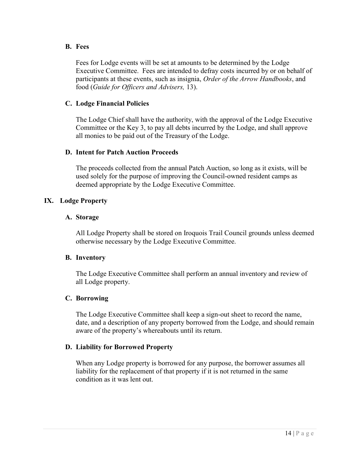#### B. Fees

Fees for Lodge events will be set at amounts to be determined by the Lodge Executive Committee. Fees are intended to defray costs incurred by or on behalf of participants at these events, such as insignia, Order of the Arrow Handbooks, and food (Guide for Officers and Advisers, 13).

# C. Lodge Financial Policies

The Lodge Chief shall have the authority, with the approval of the Lodge Executive Committee or the Key 3, to pay all debts incurred by the Lodge, and shall approve all monies to be paid out of the Treasury of the Lodge.

# D. Intent for Patch Auction Proceeds

The proceeds collected from the annual Patch Auction, so long as it exists, will be used solely for the purpose of improving the Council-owned resident camps as deemed appropriate by the Lodge Executive Committee.

# IX. Lodge Property

#### A. Storage

All Lodge Property shall be stored on Iroquois Trail Council grounds unless deemed otherwise necessary by the Lodge Executive Committee.

# B. Inventory

The Lodge Executive Committee shall perform an annual inventory and review of all Lodge property.

#### C. Borrowing

The Lodge Executive Committee shall keep a sign-out sheet to record the name, date, and a description of any property borrowed from the Lodge, and should remain aware of the property's whereabouts until its return.

# D. Liability for Borrowed Property

When any Lodge property is borrowed for any purpose, the borrower assumes all liability for the replacement of that property if it is not returned in the same condition as it was lent out.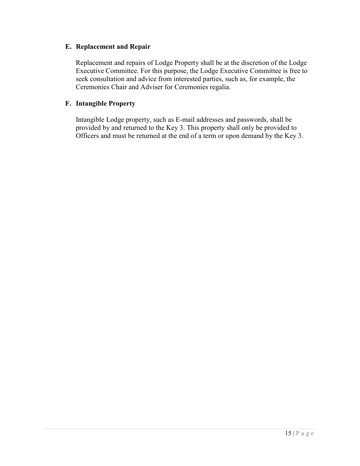#### E. Replacement and Repair

Replacement and repairs of Lodge Property shall be at the discretion of the Lodge Executive Committee. For this purpose, the Lodge Executive Committee is free to seek consultation and advice from interested parties, such as, for example, the Ceremonies Chair and Adviser for Ceremonies regalia.

# F. Intangible Property

Intangible Lodge property, such as E-mail addresses and passwords, shall be provided by and returned to the Key 3. This property shall only be provided to Officers and must be returned at the end of a term or upon demand by the Key 3.